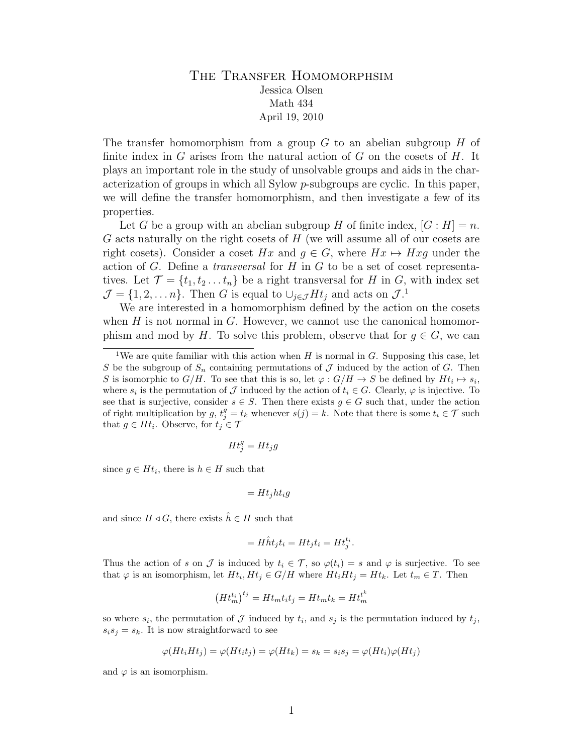## THE TRANSFER HOMOMORPHSIM Jessica Olsen Math 434 April 19, 2010

The transfer homomorphism from a group  $G$  to an abelian subgroup  $H$  of finite index in  $G$  arises from the natural action of  $G$  on the cosets of  $H$ . It plays an important role in the study of unsolvable groups and aids in the characterization of groups in which all Sylow  $p$ -subgroups are cyclic. In this paper, we will define the transfer homomorphism, and then investigate a few of its properties.

Let G be a group with an abelian subgroup H of finite index,  $|G : H| = n$ .  $G$  acts naturally on the right cosets of  $H$  (we will assume all of our cosets are right cosets). Consider a coset Hx and  $q \in G$ , where  $Hx \mapsto Hxq$  under the action of  $G$ . Define a *transversal* for  $H$  in  $G$  to be a set of coset representatives. Let  $\mathcal{T} = \{t_1, t_2, \ldots, t_n\}$  be a right transversal for H in G, with index set  $\mathcal{J} = \{1, 2, \dots n\}.$  Then G is equal to  $\cup_{j \in \mathcal{J}} H t_j$  and acts on  $\mathcal{J}.^1$ 

We are interested in a homomorphism defined by the action on the cosets when  $H$  is not normal in  $G$ . However, we cannot use the canonical homomorphism and mod by H. To solve this problem, observe that for  $g \in G$ , we can

$$
Ht_j^g = Ht_jg
$$

since  $g \in Ht_i$ , there is  $h \in H$  such that

$$
= Ht_j h t_i g
$$

and since  $H \triangleleft G$ , there exists  $\hat{h} \in H$  such that

$$
= H\hat{h}t_j t_i = Ht_j t_i = Ht_j^{t_i}.
$$

Thus the action of s on J is induced by  $t_i \in \mathcal{T}$ , so  $\varphi(t_i) = s$  and  $\varphi$  is surjective. To see that  $\varphi$  is an isomorphism, let  $Ht_i, Ht_j \in G/H$  where  $Ht_iHt_j = Ht_k$ . Let  $t_m \in T$ . Then

$$
\left( H t_m^{t_i} \right)^{t_j} = H t_m t_i t_j = H t_m t_k = H t_m^{t^k}
$$

so where  $s_i$ , the permutation of  $\mathcal J$  induced by  $t_i$ , and  $s_j$  is the permutation induced by  $t_j$ ,  $s_i s_j = s_k$ . It is now straightforward to see

$$
\varphi(Ht_iHt_j) = \varphi(Ht_it_j) = \varphi(Ht_k) = s_k = s_is_j = \varphi(Ht_i)\varphi(Ht_j)
$$

and  $\varphi$  is an isomorphism.

<sup>&</sup>lt;sup>1</sup>We are quite familiar with this action when H is normal in G. Supposing this case, let S be the subgroup of  $S_n$  containing permutations of J induced by the action of G. Then S is isomorphic to  $G/H$ . To see that this is so, let  $\varphi: G/H \to S$  be defined by  $Ht_i \mapsto s_i$ , where  $s_i$  is the permutation of  $\mathcal J$  induced by the action of  $t_i \in G$ . Clearly,  $\varphi$  is injective. To see that is surjective, consider  $s \in S$ . Then there exists  $g \in G$  such that, under the action of right multiplication by  $g, t_j^g = t_k$  whenever  $s(j) = k$ . Note that there is some  $t_i \in \mathcal{T}$  such that  $g \in Ht_i$ . Observe, for  $t_j \in \mathcal{T}$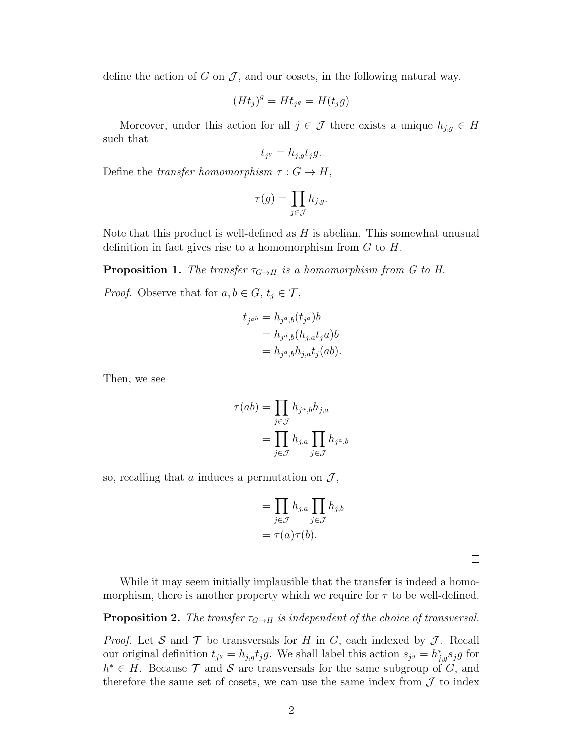define the action of G on  $\mathcal{J}$ , and our cosets, in the following natural way.

$$
(Ht_j)^g = Ht_{j^g} = H(t_jg)
$$

Moreover, under this action for all  $j \in \mathcal{J}$  there exists a unique  $h_{j,g} \in H$ such that

$$
t_{j^g} = h_{j,g} t_j g.
$$

Define the transfer homomorphism  $\tau : G \to H$ ,

$$
\tau(g) = \prod_{j \in \mathcal{J}} h_{j,g}.
$$

Note that this product is well-defined as  $H$  is abelian. This somewhat unusual definition in fact gives rise to a homomorphism from  $G$  to  $H$ .

**Proposition 1.** The transfer  $\tau_{G\to H}$  is a homomorphism from G to H.

*Proof.* Observe that for  $a, b \in G$ ,  $t_j \in \mathcal{T}$ ,

$$
t_{j^{ab}} = h_{j^a,b}(t_{j^a})b
$$
  
=  $h_{j^a,b}(h_{j,a}t_ja)b$   
=  $h_{j^a,b}h_{j,a}t_j(ab).$ 

Then, we see

$$
\tau(ab) = \prod_{j \in \mathcal{J}} h_{j^a, b} h_{j, a}
$$

$$
= \prod_{j \in \mathcal{J}} h_{j, a} \prod_{j \in \mathcal{J}} h_{j^a, b}
$$

so, recalling that  $a$  induces a permutation on  $\mathcal{J},$ 

$$
= \prod_{j \in \mathcal{J}} h_{j,a} \prod_{j \in \mathcal{J}} h_{j,b}
$$

$$
= \tau(a)\tau(b).
$$

 $\Box$ 

While it may seem initially implausible that the transfer is indeed a homomorphism, there is another property which we require for  $\tau$  to be well-defined.

## **Proposition 2.** The transfer  $\tau_{G\to H}$  is independent of the choice of transversal.

*Proof.* Let S and T be transversals for H in G, each indexed by J. Recall our original definition  $t_{j} = h_{j,g} t_{j} g$ . We shall label this action  $s_{j} = h_{j,g}^{*} s_{j} g$  for  $h^* \in H$ . Because  $\mathcal T$  and  $\mathcal S$  are transversals for the same subgroup of  $G$ , and therefore the same set of cosets, we can use the same index from  $\mathcal J$  to index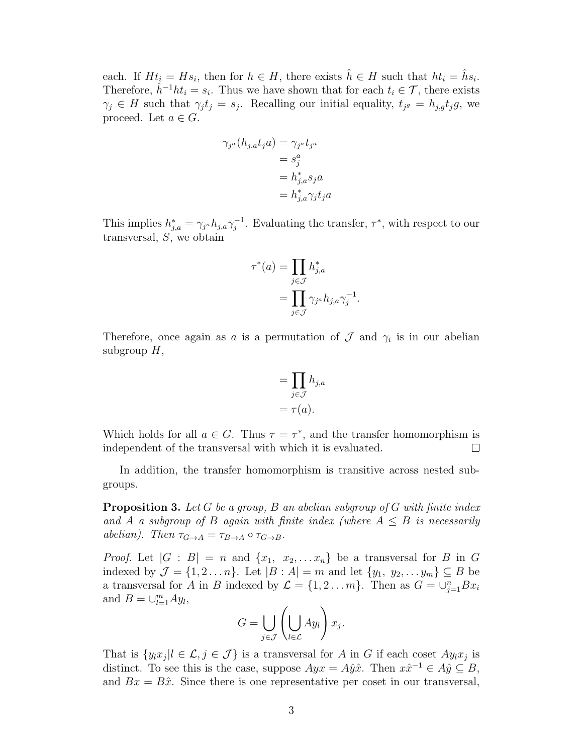each. If  $Ht_i = Hs_i$ , then for  $h \in H$ , there exists  $\hat{h} \in H$  such that  $ht_i = \hat{h}s_i$ . Therefore,  $\hat{h}^{-1}ht_i = s_i$ . Thus we have shown that for each  $t_i \in \mathcal{T}$ , there exists  $\gamma_j \in H$  such that  $\gamma_j t_j = s_j$ . Recalling our initial equality,  $t_{j} = h_{j,g} t_j g$ , we proceed. Let  $a \in G$ .

$$
\gamma_{j^a}(h_{j,a}t_ja) = \gamma_{j^a}t_{j^a}
$$
  
=  $s_j^a$   
=  $h_{j,a}^*s_ja$   
=  $h_{j,a}^*\gamma_jt_ja$ 

This implies  $h_{j,a}^* = \gamma_{j,a} h_{j,a} \gamma_j^{-1}$  $j^{-1}$ . Evaluating the transfer,  $\tau^*$ , with respect to our transversal,  $S$ , we obtain

$$
\tau^*(a) = \prod_{j \in \mathcal{J}} h_{j,a}^*
$$

$$
= \prod_{j \in \mathcal{J}} \gamma_{j} a h_{j,a} \gamma_j^{-1}.
$$

Therefore, once again as a is a permutation of  $\mathcal J$  and  $\gamma_i$  is in our abelian subgroup  $H$ ,

$$
= \prod_{j \in \mathcal{J}} h_{j,a}
$$

$$
= \tau(a).
$$

Which holds for all  $a \in G$ . Thus  $\tau = \tau^*$ , and the transfer homomorphism is independent of the transversal with which it is evaluated.  $\Box$ 

In addition, the transfer homomorphism is transitive across nested subgroups.

**Proposition 3.** Let G be a group, B an abelian subgroup of G with finite index and A a subgroup of B again with finite index (where  $A \leq B$  is necessarily abelian). Then  $\tau_{G\to A} = \tau_{B\to A} \circ \tau_{G\to B}$ .

*Proof.* Let  $|G : B| = n$  and  $\{x_1, x_2, \ldots x_n\}$  be a transversal for B in G indexed by  $\mathcal{J} = \{1, 2 \ldots n\}$ . Let  $|B : A| = m$  and let  $\{y_1, y_2, \ldots y_m\} \subseteq B$  be a transversal for A in B indexed by  $\mathcal{L} = \{1, 2 \dots m\}$ . Then as  $G = \bigcup_{j=1}^{n} Bx_i$ and  $B = \bigcup_{l=1}^{m} Ay_l$ ,

$$
G = \bigcup_{j \in \mathcal{J}} \left( \bigcup_{l \in \mathcal{L}} Ay_l \right) x_j.
$$

That is  $\{y_l x_j | l \in \mathcal{L}, j \in \mathcal{J}\}\$ is a transversal for A in G if each coset  $Ay_l x_j$  is distinct. To see this is the case, suppose  $Ayx = A\hat{y}\hat{x}$ . Then  $x\hat{x}^{-1} \in A\hat{y} \subseteq B$ , and  $Bx = B\hat{x}$ . Since there is one representative per coset in our transversal,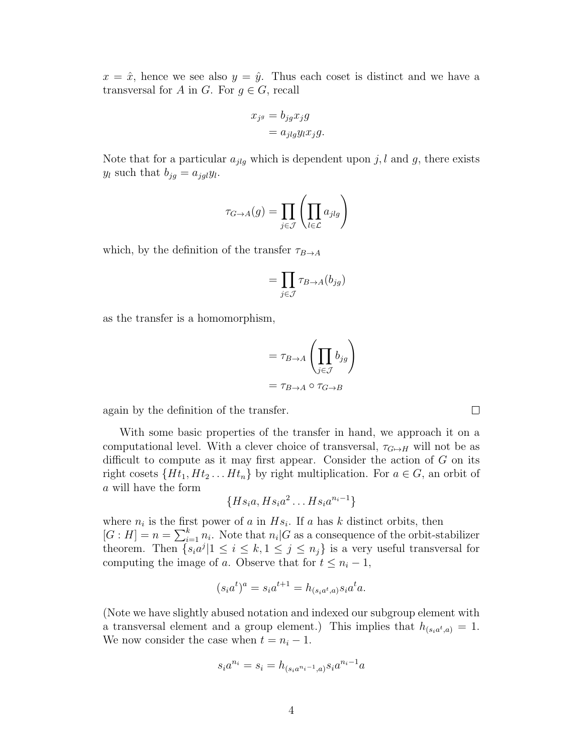$x = \hat{x}$ , hence we see also  $y = \hat{y}$ . Thus each coset is distinct and we have a transversal for A in G. For  $g \in G$ , recall

$$
x_{j^g} = b_{jg} x_j g
$$
  
=  $a_{jlg} y_l x_j g$ .

Note that for a particular  $a_{jlg}$  which is dependent upon j, l and g, there exists  $y_l$  such that  $b_{jg} = a_{jgl}y_l$ .

$$
\tau_{G\to A}(g)=\prod_{j\in \mathcal{J}}\left(\prod_{l\in \mathcal{L}}a_{jlg}\right)
$$

which, by the definition of the transfer  $\tau_{B\to A}$ 

$$
= \prod_{j \in \mathcal{J}} \tau_{B \to A}(b_{j g})
$$

as the transfer is a homomorphism,

$$
= \tau_{B \to A} \left( \prod_{j \in J} b_{jg} \right)
$$

$$
= \tau_{B \to A} \circ \tau_{G \to B}
$$

 $\Box$ 

again by the definition of the transfer.

With some basic properties of the transfer in hand, we approach it on a computational level. With a clever choice of transversal,  $\tau_{G\mapsto H}$  will not be as difficult to compute as it may first appear. Consider the action of  $G$  on its right cosets  $\{Ht_1, Ht_2 \ldots Ht_n\}$  by right multiplication. For  $a \in G$ , an orbit of a will have the form

$$
\{Hs_ia, Hs_ia^2 \dots Hs_ia^{n_i-1}\}
$$

where  $n_i$  is the first power of a in  $Hs_i$ . If a has k distinct orbits, then  $[G:H] = n = \sum_{i=1}^{k} n_i$ . Note that  $n_i | G$  as a consequence of the orbit-stabilizer theorem. Then  $\{s_i a^j | 1 \le i \le k, 1 \le j \le n_j\}$  is a very useful transversal for computing the image of a. Observe that for  $t \leq n_i - 1$ ,

$$
(s_i a^t)^a = s_i a^{t+1} = h_{(s_i a^t, a)} s_i a^t a.
$$

(Note we have slightly abused notation and indexed our subgroup element with a transversal element and a group element.) This implies that  $h_{(s_i a^t, a)} = 1$ . We now consider the case when  $t = n_i - 1$ .

$$
s_i a^{n_i} = s_i = h_{(s_i a^{n_i - 1}, a)} s_i a^{n_i - 1} a
$$

4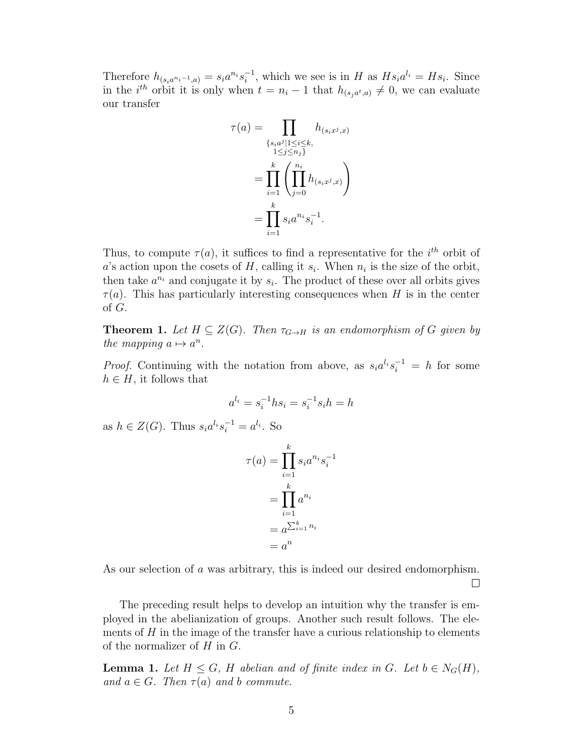Therefore  $h_{(s_i a^{n_i-1}, a)} = s_i a^{n_i} s_i^{-1}$  $i_i^{-1}$ , which we see is in H as  $Hs_i a^{l_i} = Hs_i$ . Since in the *i*<sup>th</sup> orbit it is only when  $t = n_i - 1$  that  $h_{(s_j a^t, a)} \neq 0$ , we can evaluate our transfer

$$
\tau(a) = \prod_{\substack{\{s_i a^j \mid 1 \le i \le k, \\ 1 \le j \le n_j\}}} h_{(s_i x^j, x)}
$$

$$
= \prod_{i=1}^k \left( \prod_{j=0}^{n_i} h_{(s_i x^j, x)} \right)
$$

$$
= \prod_{i=1}^k s_i a^{n_i} s_i^{-1}.
$$

Thus, to compute  $\tau(a)$ , it suffices to find a representative for the i<sup>th</sup> orbit of a's action upon the cosets of H, calling it  $s_i$ . When  $n_i$  is the size of the orbit, then take  $a^{n_i}$  and conjugate it by  $s_i$ . The product of these over all orbits gives  $\tau(a)$ . This has particularly interesting consequences when H is in the center of G.

**Theorem 1.** Let  $H \subseteq Z(G)$ . Then  $\tau_{G \to H}$  is an endomorphism of G given by the mapping  $a \mapsto a^n$ .

*Proof.* Continuing with the notation from above, as  $s_i a^{l_i} s_i^{-1} = h$  for some  $h \in H$ , it follows that

$$
a^{l_i} = s_i^{-1} h s_i = s_i^{-1} s_i h = h
$$

as  $h \in Z(G)$ . Thus  $s_i a^{l_i} s_i^{-1} = a^{l_i}$ . So

$$
\tau(a) = \prod_{i=1}^{k} s_i a^{n_i} s_i^{-1}
$$

$$
= \prod_{i=1}^{k} a^{n_i}
$$

$$
= a^{\sum_{i=1}^{k} n_i}
$$

$$
= a^n
$$

As our selection of a was arbitrary, this is indeed our desired endomorphism.

 $\Box$ 

The preceding result helps to develop an intuition why the transfer is employed in the abelianization of groups. Another such result follows. The elements of  $H$  in the image of the transfer have a curious relationship to elements of the normalizer of  $H$  in  $G$ .

**Lemma 1.** Let  $H \leq G$ , H abelian and of finite index in G. Let  $b \in N_G(H)$ , and  $a \in G$ . Then  $\tau(a)$  and b commute.